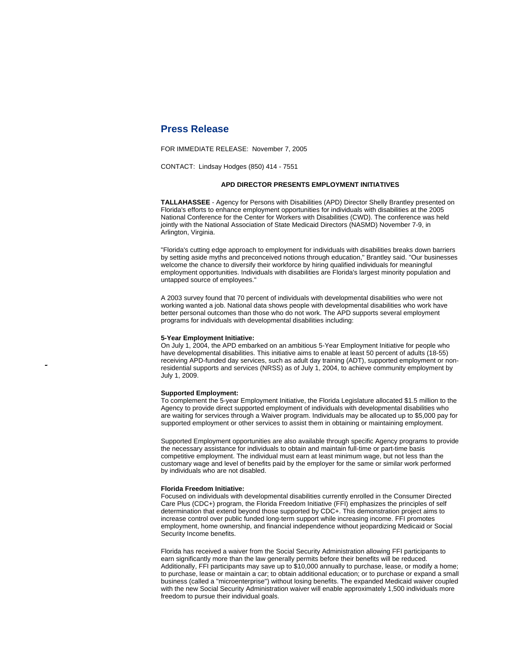# **Press Release**

FOR IMMEDIATE RELEASE: November 7, 2005

CONTACT: Lindsay Hodges (850) 414 - 7551

## **APD DIRECTOR PRESENTS EMPLOYMENT INITIATIVES**

**TALLAHASSEE** - Agency for Persons with Disabilities (APD) Director Shelly Brantley presented on Florida's efforts to enhance employment opportunities for individuals with disabilities at the 2005 National Conference for the Center for Workers with Disabilities (CWD). The conference was held jointly with the National Association of State Medicaid Directors (NASMD) November 7-9, in Arlington, Virginia.

"Florida's cutting edge approach to employment for individuals with disabilities breaks down barriers by setting aside myths and preconceived notions through education," Brantley said. "Our businesses welcome the chance to diversify their workforce by hiring qualified individuals for meaningful employment opportunities. Individuals with disabilities are Florida's largest minority population and untapped source of employees."

A 2003 survey found that 70 percent of individuals with developmental disabilities who were not working wanted a job. National data shows people with developmental disabilities who work have better personal outcomes than those who do not work. The APD supports several employment programs for individuals with developmental disabilities including:

### **5-Year Employment Initiative:**

On July 1, 2004, the APD embarked on an ambitious 5-Year Employment Initiative for people who have developmental disabilities. This initiative aims to enable at least 50 percent of adults (18-55) receiving APD-funded day services, such as adult day training (ADT), supported employment or nonresidential supports and services (NRSS) as of July 1, 2004, to achieve community employment by July 1, 2009.

#### **Supported Employment:**

supported employment or other services to assist them in obtaining or maintaining employment. To complement the 5-year Employment Initiative, the Florida Legislature allocated \$1.5 million to the Agency to provide direct supported employment of individuals with developmental disabilities who are waiting for services through a Waiver program. Individuals may be allocated up to \$5,000 pay for

Supported Employment opportunities are also available through specific Agency programs to provide the necessary assistance for individuals to obtain and maintain full-time or part-time basis competitive employment. The individual must earn at least minimum wage, but not less than the customary wage and level of benefits paid by the employer for the same or similar work performed by individuals who are not disabled.

#### **Florida Freedom Initiative:**

Focused on individuals with developmental disabilities currently enrolled in the Consumer Directed Care Plus (CDC+) program, the Florida Freedom Initiative (FFI) emphasizes the principles of self determination that extend beyond those supported by CDC+. This demonstration project aims to increase control over public funded long-term support while increasing income. FFI promotes employment, home ownership, and financial independence without jeopardizing Medicaid or Social Security Income benefits.

Florida has received a waiver from the Social Security Administration allowing FFI participants to earn significantly more than the law generally permits before their benefits will be reduced. Additionally, FFI participants may save up to \$10,000 annually to purchase, lease, or modify a home; to purchase, lease or maintain a car; to obtain additional education; or to purchase or expand a small business (called a "microenterprise") without losing benefits. The expanded Medicaid waiver coupled with the new Social Security Administration waiver will enable approximately 1,500 individuals more freedom to pursue their individual goals.